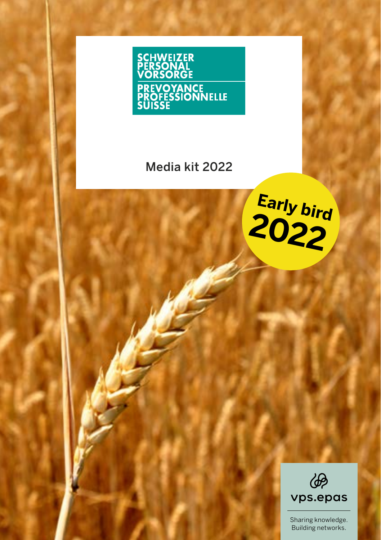

## Media kit 2022





Sharing knowledge. Building networks.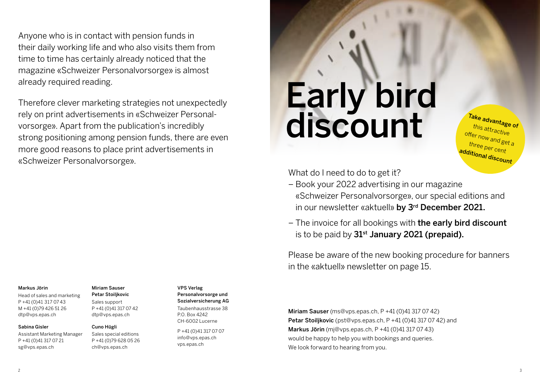Anyone who is in contact with pension funds in their daily working life and who also visits them from time to time has certainly already noticed that the magazine «Schweizer Personalvorsorge» is almost already required reading.

Therefore clever marketing strategies not unexpectedly rely on print advertisements in «Schweizer Personalvorsorge». Apart from the publication's incredibly strong positioning among pension funds, there are even more good reasons to place print advertisements in «Schweizer Personalvorsorge».

#### Markus Jörin

[Head of sales and marketing](mailto:dtp%40vps.epas.ch?subject=Marketing%202022) P +41 (0)41 317 07 43 M +41 (0)79 426 51 26 dtp@vps.epas.ch

#### Sabina Gisler

[Assistant Marketing Mana](mailto:sg%40vps.epas.ch?subject=Marketing%202022)ger P +41 (0)41 317 07 21 sg@vps.epas.ch

## Miriam Sauser

Petar Stoiljkovic Sales support P +41 (0)41 317 07 42 dtp@vps.epas.ch

#### Cuno Hügli

Sales special editions [P +41 \(0\)79 628 05 26](mailto:ch%40vps.epas.ch?subject=Marketing%202022) ch@vps.epas.ch

#### VPS Verlag

Personalvorsorge und [Sozialversicherung AG](mailto:info%40vps.epas.ch?subject=Marketing%202022) Taubenhausstrasse 38 P.O. Box 4242 CH-6002 Lucerne

P +41 (0)41 317 07 07 info@vps.epas.ch vps.epas.ch

# discount Early bird

Take advantage of this attractive offer now and get a three per cent additional discount

What do I need to do to get it?

- Book your 2022 advertising in our magazine «Schweizer Personalvorsorge», our special editions and in our newsletter «aktuell» by 3<sup>rd</sup> December 2021.
- The invoice for all bookings with the early bird discount is to be paid by  $31<sup>st</sup>$  January 2021 (prepaid).

[Please be aware of the new booking procedure for banners](#page-7-0)  in the «aktuell» newsletter on page 15.

Miriam Sauser [\(ms@vps.epas.ch, P +41 \(0\)41 317 07 42\)](mailto:ms%40vps.epas.ch?subject=Marketing%202022)  Petar Stoilikovic [\(pst@vps.epas.ch, P +41 \(0\)41 317 07 42\) and](mailto:pst%40vps.epas.ch?subject=Marketing%202022) Markus Jörin [\(mj@vps.epas.ch, P +41 \(0\)41 317 07 43\)](mailto:mj%40vps.epas.ch?subject=Marketing%202022)  would be happy to help you with bookings and queries. We look forward to hearing from you.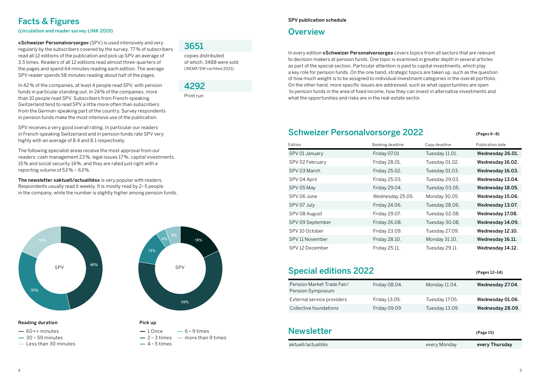## Facts & Figures

(circulation and reader survey LINK 2019)

«Schweizer Personalvorsorge» (SPV) is used intensively and very regularly by the subscribers covered by the survey. 77 % of subscribers read all 12 editions of the publication and pick up SPV an average of 3.5 times. Readers of all 12 editions read almost three-quarters of the pages and spend 64 minutes reading each edition. The average SPV reader spends 58 minutes reading about half of the pages.

In 42 % of the companies, at least 4 people read SPV, with pension funds in particular standing out. In 24% of the companies, more than 10 people read SPV. Subscribers from French-speaking Switzerland tend to read SPV a little more often than subscribers from the German-speaking part of the country. Survey respondents in pension funds make the most intensive use of the publication.

SPV receives a very good overall rating. In particular our readers in French-speaking Switzerland and in pension funds rate SPV very highly with an average of 8.4 and 8.1 respectively.

The following specialist areas receive the most approval from our readers: cash management 23 %, legal issues 17 %, capital investments 15 % and social security 14%, and they are rated just right with a reporting volume of 53 % – 63 %.

The newsletter «aktuell/actualités» is very popular with readers. Respondents usually read it weekly. It is mostly read by 2–5 people in the company, while the number is slightly higher among pension funds.





 $-1$  Once  $-6-9$  times  $-2-3$  times  $-$  more than 9 times

Pick up

 $-4-5$  times

#### Reading duration

- $-60++$  minutes
- $-30 59$  minutes
- Less than 30 minutes

## 3651

copies distributed of which: 3488 were sold (WEMF/SW-certified 2021)



Print run

#### SPV publication schedule

### **Overview**

In every edition «Schweizer Personalvorsorge» covers topics from all sectors that are relevant to decision-makers at pension funds. One topic is examined in greater depth in several articles as part of the special section. Particular attention is paid to capital investments, which play a key role for pension funds. On the one hand, strategic topics are taken up, such as the question of how much weight is to be assigned to individual investment categories in the overall portfolio. On the other hand, more specific issues are addressed, such as what opportunities are open to pension funds in the area of fixed income, how they can invest in alternative investments and what the opportunities and risks are in the real-estate sector.

## Schweizer Personalvorsorge 2022 (Pages 6-8)

Edition **Example 20** Edition Booking deadline Copy deadline Publication date SPV 01 January Friday 07.01 Tuesday 11.01. Wednesday 26.01. SPV 02 February Friday 28.01. Tuesday 01.02. Wednesday 16.02. SPV 03 March Friday 25.02. Tuesday 01.03. Wednesday 16.03. SPV 04 April **Friday 25.03.** Tuesday 29.03. Wednesday 13.04. SPV 05 May Friday 29.04. Tuesday 03.05. Wednesday 18.05. SPV 06 June Wednesday 25.05. Monday 30.05. Wednesday 15.06. SPV 07 July Friday 24.06. Tuesday 28.06. Wednesday 13.07. SPV 08 August **Friday 29.07.** Tuesday 02.08. Wednesday 17.08. SPV 09 September Friday 26.08. Tuesday 30.08. Wednesday 14.09. SPV 10 October Friday 23.09. Tuesday 27.09. Wednesday 12.10. SPV 11 November Friday 28.10. Monday 31.10. Wednesday 16.11. SPV 12 December Friday 25.11. Tuesday 29.11. Wednesday 14.12.

## Special editions 2022 (Pages 12–14)

| Pension Market Trade Fair/<br>Pension Symposium | Friday 08.04. | Monday 11.04.  | Wednesday 27.04. |
|-------------------------------------------------|---------------|----------------|------------------|
| External service providers                      | Friday 13.05. | Tuesday 17.05. | Wednesday 01.06. |
| Collective foundations                          | Friday 09.09. | Tuesday 13.09. | Wednesday 28.09. |

| <b>Newsletter</b>  |              | (Page 15)      |
|--------------------|--------------|----------------|
| aktuell/actualités | every Monday | every Thursday |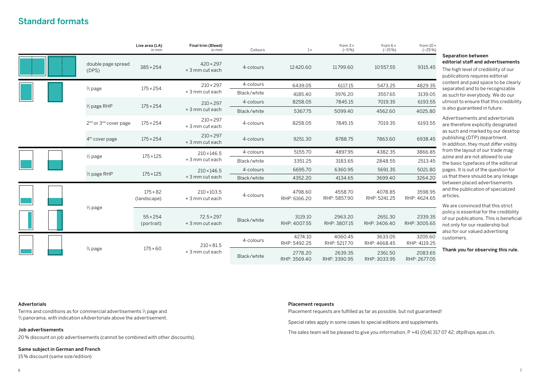## <span id="page-3-0"></span>Standard formats

|  |                                               |                               | Live area (LA)<br>in mm              | Final trim (Bleed)<br>in mm           | Colours                 | $1\times$               | from $3 \times$<br>$(-5%)$ | from $6 \times$<br>$(-15%)$ | from $10 \times$<br>$(-25%)$ |
|--|-----------------------------------------------|-------------------------------|--------------------------------------|---------------------------------------|-------------------------|-------------------------|----------------------------|-----------------------------|------------------------------|
|  |                                               | double page spread<br>(DFS)   | $385 \times 254$                     | $420 \times 297$<br>+3 mm cut each    | 4-colours               | 12420.60                | 11799.60                   | 10557.55                    | 9315.45                      |
|  |                                               | $\frac{1}{1}$ page            | $175 \times 254$                     | $210 \times 297$                      | 4-colours               | 6439.05                 | 6117.15                    | 5473.25                     | 4829.35                      |
|  |                                               |                               | + 3 mm cut each                      | Black/white                           | 4185.40                 | 3976.20                 | 3557.65                    | 3139.05                     |                              |
|  |                                               | $\frac{1}{1}$ page RHP        | $175 \times 254$                     | $210 \times 297$                      | 4-colours               | 8258.05                 | 7845.15                    | 7019.35                     | 6193.55                      |
|  |                                               |                               |                                      | + 3 mm cut each                       | Black/white             | 5367.75                 | 5099.40                    | 4562.60                     | 4025.80                      |
|  | 2 <sup>nd</sup> or 3 <sup>nd</sup> cover page | $175 \times 254$              | $210 \times 297$<br>+ 3 mm cut each  | 4-colours                             | 8258.05                 | 7845.15                 | 7019.35                    | 6193.55                     |                              |
|  |                                               | 4 <sup>th</sup> cover page    | $175 \times 254$                     | $210 \times 297$<br>+ 3 mm cut each   | 4-colours               | 9251.30                 | 8788.75                    | 7863.60                     | 6938.45                      |
|  |                                               | $\frac{1}{2}$ page            | $175 \times 125$                     | $210 \times 146.5$<br>+ 3 mm cut each | 4-colours               | 5155.70                 | 4897.95                    | 4382.35                     | 3866.85                      |
|  |                                               |                               |                                      |                                       | Black/white             | 3351.25                 | 3183.65                    | 2848.55                     | 2513.45                      |
|  |                                               | $\frac{1}{2}$ page RHP        | $175 \times 125$                     | $210 \times 146.5$                    | 4-colours               | 6695.70                 | 6360.95                    | 5691.35                     | 5021.80                      |
|  |                                               |                               |                                      | + 3 mm cut each                       | Black/white             | 4352.20                 | 4134.65                    | 3699.40                     | 3264.20                      |
|  |                                               |                               | $175 \times 82$<br>(landscape)       | $210 \times 103.5$<br>+ 3 mm cut each | 4-colours               | 4798.60<br>RHP: 6166.20 | 4558.70<br>RHP: 5857.90    | 4078.85<br>RHP: 5241.25     | 3598.95<br>RHP: 4624.65      |
|  | $\frac{1}{3}$ page                            | $55 \times 254$<br>(portrait) | $72.5 \times 297$<br>+ 3 mm cut each | Black/white                           | 3119.10<br>RHP: 4007.55 | 2963.20<br>RHP: 3807.15 | 2651.30<br>RHP: 3406.40    | 2339.35<br>RHP: 3005.65     |                              |
|  |                                               |                               |                                      | $210 \times 81.5$                     | 4-colours               | 4274.10<br>RHP: 5492.25 | 4060.45<br>RHP: 5217.70    | 3633.05<br>RHP: 4668.45     | 3205.60<br>RHP: 4119.25      |
|  |                                               | $\frac{1}{4}$ page            | $175 \times 60$                      | + 3 mm cut each                       | Black/white             | 2778.20<br>RHP: 3569.40 | 2639.35<br>RHP: 3390.95    | 2361.50<br>RHP: 3033.95     | 2083.65<br>RHP: 2677.05      |

Separation between editorial staff and advertisements

The high level of credibility of our publications requires editorial content and paid space to be clearly separated and to be recognizable as such for everybody. We do our utmost to ensure that this credibility is also guaranteed in future.

Advertisements and advertorials are therefore explicitly designated as such and marked by our desktop publishing (DTP) department. In addition, they must differ visibly from the layout of our trade magazine and are not allowed to use the basic typefaces of the editorial pages. It is out of the question for us that there should be any linkage between placed advertisements and the publication of specialized articles.

We are convinced that this strict policy is essential for the credibility of our publications. This is beneficial not only for our readership but also for our valued advertising customers.

Thank you for observing this rule.

#### Advertorials

Terms and conditions as for commercial advertisements  $\frac{1}{1}$  page and  $\%$  panorama, with indication «Advertorial» above the advertisement.

#### Job advertisements

20 % discount on job advertisements (cannot be combined with other discounts).

#### Same subject in German and French

15 % discount (same size/edition)

#### Placement requests

Placement requests are fulfilled as far as possible, but not guaranteed!

Special rates apply in some cases to special editions and supplements.

[The sales team will be pleased to give you information, P +41 \(0\)41 317 07 42; dtp@vps.epas.ch,](mailto:dtp%40vps.epas.ch?subject=Marketing%202022)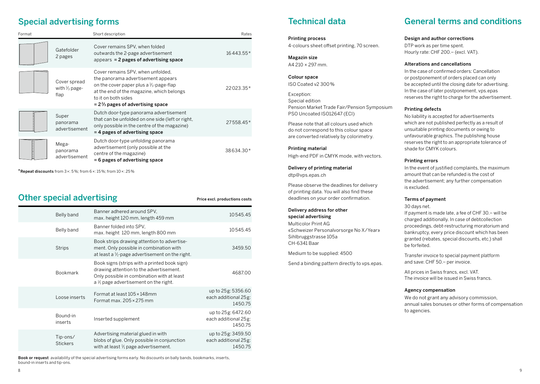## Special advertising forms

| Format |                                                  | Short description                                                                                                                                                                                                                                | Rates     |
|--------|--------------------------------------------------|--------------------------------------------------------------------------------------------------------------------------------------------------------------------------------------------------------------------------------------------------|-----------|
|        | Gatefolder<br>2 pages                            | Cover remains SPV, when folded<br>outwards the 2-page advertisement<br>appears $= 2$ pages of advertising space                                                                                                                                  | 16443.55* |
|        | Cover spread<br>with $\frac{1}{3}$ page-<br>flap | Cover remains SPV, when unfolded,<br>the panorama advertisement appears<br>on the cover paper plus a $\frac{1}{3}$ -page-flap<br>at the end of the magazine, which belongs<br>to it on both sides<br>$= 2\frac{2}{3}$ pages of advertising space | 22023.35* |
|        | Super<br>panorama<br>advertisement               | Dutch door-type panorama advertisement<br>that can be unfolded on one side (left or right,<br>only possible in the centre of the magazine)<br>= 4 pages of advertising space                                                                     | 27558.45* |
|        | Mega-<br>panorama<br>advertisement               | Dutch door-type unfolding panorama<br>advertisement (only possible at the<br>centre of the magazine)<br>= 6 pages of advertising space                                                                                                           | 38634.30* |

\*Repeat discounts from  $3 \times 5\%$ ; from  $6 \times 15\%$ ; from  $10 \times 25\%$ 

# Other special advertising and price excl. productions costs

| Belly band                  | Banner adhered around SPV.<br>max. height 120 mm, length 459 mm                                                                                                                           | 10545.45                                              |
|-----------------------------|-------------------------------------------------------------------------------------------------------------------------------------------------------------------------------------------|-------------------------------------------------------|
| Belly band                  | Banner folded into SPV.<br>max. height 120 mm, length 800 mm                                                                                                                              | 10545.45                                              |
| <b>Strips</b>               | Book strips drawing attention to advertise-<br>ment. Only possible in combination with<br>at least a $\frac{1}{1}$ -page advertisement on the right.                                      | 3459.50                                               |
| <b>Bookmark</b>             | Book signs (strips with a printed book sign)<br>drawing attention to the advertisement.<br>Only possible in combination with at least<br>a $\frac{1}{1}$ page advertisement on the right. | 468700                                                |
| Loose inserts               | Format at least 105 × 148mm<br>Format max. $205 \times 275$ mm                                                                                                                            | up to 25g: 5356.60<br>each additional 25g:<br>145075  |
| Bound-in<br>inserts         | Inserted supplement                                                                                                                                                                       | up to 25g: 6472.60<br>each additional 25g:<br>1450.75 |
| Tip-ons/<br><b>Stickers</b> | Advertising material glued in with<br>blobs of glue. Only possible in conjunction<br>with at least $\frac{1}{2}$ page advertisement.                                                      | up to 25g: 3459.50<br>each additional 25g:<br>145075  |

Book or request availability of the special advertising forms early. No discounts on bally bands, bookmarks, inserts, bound-in inserts and tip-ons.

# Technical data

Printing process 4-colours sheet offset printing, 70 screen.

Magazin size A4 210 × 297 mm.

Colour space ISO Coated v2 300 %

Exception: Special edition Pension Market Trade Fair/Pension Symposium PSO Uncoated ISO12647 (ECI)

Please note that all colours used which do not correspond to this colour space are converted relatively by colorimetry.

#### Printing material

High-end PDF in CMYK mode, with vectors.

[Delivery of printing material](mailto:dtp%40vps.epas.ch?subject=Marketing%202022) dtp@vps.epas.ch

Please observe the deadlines for delivery of printing data. You will also find these deadlines on your order confirmation.

#### Delivery address for other special advertising Multicolor Print AG «Schweizer Personalvorsorge No X/Year» Sihlbruggstrasse 105a CH-6341 Baar

Medium to be supplied: 4500

Send a binding pattern directly to vps.epas.

# General terms and conditions

#### Design and author corrections

DTP work as per time spent. Hourly rate: CHF 200.– (excl. VAT).

#### Alterations and cancellations

In the case of confirmed orders: Cancellation or postponement of orders placed can only be accepted until the closing date for advertising. In the case of later postponement, vps.epas reserves the right to charge for the advertisement.

#### Printing defects

No liability is accepted for advertisements which are not published perfectly as a result of unsuitable printing documents or owing to unfavourable graphics. The publishing house reserves the right to an appropriate tolerance of shade for CMYK colours.

#### Printing errors

In the event of justified complaints, the maximum amount that can be refunded is the cost of the advertisement; any further compensation is excluded.

#### Terms of payment

30 days net.

If payment is made late, a fee of CHF 30.– will be charged additionally. In case of debtcollection proceedings, debt-restructuring moratorium and bankruptcy, every price discount which has been granted (rebates, special discounts, etc.) shall be forfeited.

Transfer invoice to special payment platform and save: CHF 50.– per invoice.

All prices in Swiss francs, excl. VAT. The invoice will be issued in Swiss francs.

#### Agency compensation

We do not grant any advisory commission, annual sales bonuses or other forms of compensation to agencies.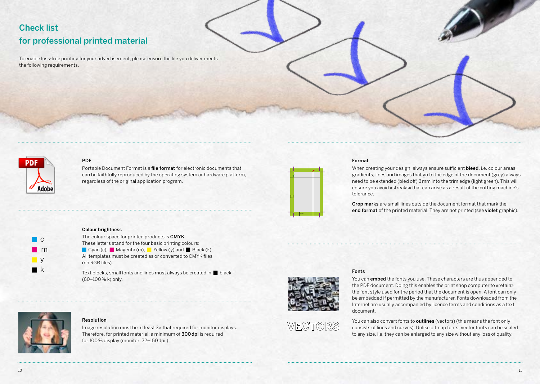# Check list for professional printed material

To enable loss-free printing for your advertisement, please ensure the file you deliver meets the following requirements.



 c  $m$  $\blacksquare$ **n** k

#### PDF

Portable Document Format is a file format for electronic documents that can be faithfully reproduced by the operating system or hardware platform, regardless of the original application program.



#### Format

When creating your design, always ensure sufficient bleed, i.e. colour areas, gradients, lines and images that go to the edge of the document (grey) always need to be extended (bled off) 3mm into the trim edge (light green). This will ensure you avoid «streaks» that can arise as a result of the cutting machine's tolerance.

Crop marks are small lines outside the document format that mark the end format of the printed material. They are not printed (see violet graphic).

#### Colour brightness

|                 | The colour space for printed products is <b>CMYK</b> . |                                                                              |  |
|-----------------|--------------------------------------------------------|------------------------------------------------------------------------------|--|
|                 |                                                        | These letters stand for the four basic printing colours:                     |  |
|                 |                                                        | $\Box$ Cyan (c), $\Box$ Magenta (m), $\Box$ Yellow (y) and $\Box$ Black (k). |  |
| (no RGB files). |                                                        | All templates must be created as or converted to CMYK files                  |  |

Text blocks, small fonts and lines must always be created in  $\blacksquare$  black (60–100 % k) only.



#### Resolution

Image resolution must be at least 3× that required for monitor displays. Therefore, for printed material: a minimum of 300dpi is required for 100 % display (monitor: 72–150dpi.)



#### Fonts

You can embed the fonts you use. These characters are thus appended to the PDF document. Doing this enables the print shop computer to «retain» the font style used for the period that the document is open. A font can only be embedded if permitted by the manufacturer. Fonts downloaded from the Internet are usually accompanied by licence terms and conditions as a text document.



You can also convert fonts to **outlines** (vectors) (this means the font only consists of lines and curves). Unlike bitmap fonts, vector fonts can be scaled to any size, i.e. they can be enlarged to any size without any loss of quality.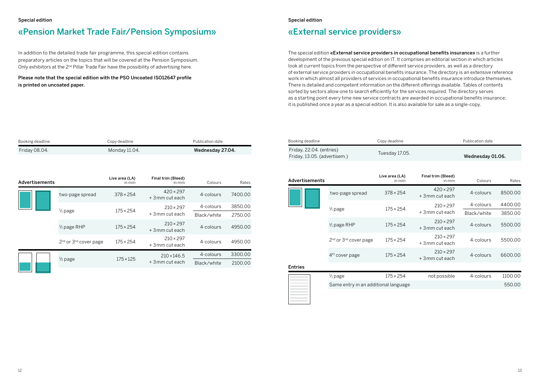## <span id="page-6-0"></span>«Pension Market Trade Fair/Pension Symposium»

In addition to the detailed trade fair programme, this special edition contains preparatory articles on the topics that will be covered at the Pension Symposium. Only exhibitors at the 2<sup>nd</sup> Pillar Trade Fair have the possibility of advertising here.

Please note that the special edition with the PSO Uncoated ISO12647 profile is printed on uncoated paper.

#### Special edition

## <span id="page-6-1"></span>«External service providers»

The special edition «External service providers in occupational benefits insurance» is a further development of the previous special edition on IT. It comprises an editorial section in which articles look at current topics from the perspective of different service providers, as well as a directory of external service providers in occupational benefits insurance. The directory is an extensive reference work in which almost all providers of services in occupational benefits insurance introduce themselves. There is detailed and competent information on the different offerings available. Tables of contents sorted by sectors allow one to search efficiently for the services required. The directory serves as a starting point every time new service contracts are awarded in occupational benefits insurance; it is published once a year as a special edition. It is also available for sale as a single-copy.

| Booking deadline | Copy deadline | Publication date |
|------------------|---------------|------------------|
| Friday 08.04.    | Monday 11.04. | Wednesday 27.04. |

| Advertisements |                                               | Live area (LA)<br>in mm | Final trim (Bleed)<br>in mm          | Colours     | Rates   |
|----------------|-----------------------------------------------|-------------------------|--------------------------------------|-------------|---------|
|                | two-page spread                               | $378 \times 254$        | $420 \times 297$<br>$+3$ mm cut each | 4-colours   | 7400.00 |
|                | $\frac{1}{1}$ page                            | $175 \times 254$        | $210 \times 297$                     | 4-colours   | 3850.00 |
|                |                                               |                         | +3mm cut each                        | Black/white | 2750.00 |
|                | $\frac{1}{1}$ page RHP                        | $175 \times 254$        | $210 \times 297$<br>+3mm cut each    | 4-colours   | 4950.00 |
|                | 2 <sup>nd</sup> or 3 <sup>nd</sup> cover page | $175 \times 254$        | $210 \times 297$<br>+3 mm cut each   | 4-colours   | 4950.00 |
|                |                                               |                         | $210 \times 146.5$                   | 4-colours   | 3300.00 |
|                | $\frac{1}{2}$ page                            | $175 \times 125$        | +3mm cut each                        | Black/white | 2100.00 |

| Booking deadline             | Copy deadline  | Publication date |
|------------------------------|----------------|------------------|
| Friday, 22.04. (entries)     |                |                  |
| Friday, 13.05. (advertisem.) | Tuesday 17.05. | Wednesday 01.06. |

| Advertisements |                                               | Live area (LA)<br>in mm              | Final trim (Bleed)<br>in mm          | Colours     | Rates   |
|----------------|-----------------------------------------------|--------------------------------------|--------------------------------------|-------------|---------|
|                | two-page spread                               | $378 \times 254$                     | $420 \times 297$<br>$+3$ mm cut each | 4-colours   | 8500.00 |
|                |                                               | $210 \times 297$<br>$175 \times 254$ | 4-colours                            | 4400.00     |         |
|                | $\frac{1}{1}$ page                            |                                      | $+3$ mm cut each                     | Black/white | 3850.00 |
|                | $\frac{1}{1}$ page RHP                        | $175 \times 254$                     | $210 \times 297$<br>$+3$ mm cut each | 4-colours   | 5500.00 |
|                | 2 <sup>nd</sup> or 3 <sup>nd</sup> cover page | $175 \times 254$                     | $210 \times 297$<br>+3 mm cut each   | 4-colours   | 5500.00 |
|                | $4th$ cover page                              | $175 \times 254$                     | $210 \times 297$<br>+3 mm cut each   | 4-colours   | 6600.00 |
| <b>Entries</b> |                                               |                                      |                                      |             |         |

| $\frac{1}{1}$ page | $175 \times 254$                     | not possible | 4-colours | 1100.00 |
|--------------------|--------------------------------------|--------------|-----------|---------|
|                    | Same entry in an additional language |              |           | 550.00  |
|                    |                                      |              |           |         |

w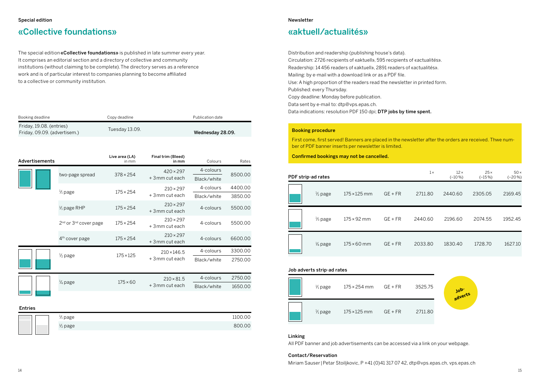# <span id="page-7-1"></span>«Collective foundations»

The special edition «Collective foundations» is published in late summer every year. It comprises an editorial section and a directory of collective and community institutions (without claiming to be complete). The directory serves as a reference work and is of particular interest to companies planning to become affiliated to a collective or community institution.

| Booking deadline                                         |                                               | Copy deadline           | Publication date                    |                          |                    |  |
|----------------------------------------------------------|-----------------------------------------------|-------------------------|-------------------------------------|--------------------------|--------------------|--|
| Friday, 19.08. (entries)<br>Friday, 09.09. (advertisem.) |                                               | Tuesday 13.09.          |                                     | Wednesday 28.09.         |                    |  |
| Advertisements                                           |                                               | Live area (LA)<br>in mm | Final trim (Bleed)<br>in mm         | Colours                  | Rates              |  |
|                                                          | two-page spread                               | $378 \times 254$        | $420 \times 297$<br>+3mm cut each   | 4-colours<br>Black/white | 8500.00            |  |
|                                                          | $\frac{1}{1}$ page                            | $175 \times 254$        | $210 \times 297$<br>+3mm cut each   | 4-colours<br>Black/white | 4400.00<br>3850.00 |  |
|                                                          | $\frac{1}{1}$ page RHP                        | $175 \times 254$        | $210 \times 297$<br>+3 mm cut each  | 4-colours                | 5500.00            |  |
|                                                          | 2 <sup>nd</sup> or 3 <sup>nd</sup> cover page | $175 \times 254$        | $210 \times 297$<br>+3mm cut each   | 4-colours                | 5500.00            |  |
|                                                          | 4 <sup>th</sup> cover page                    | $175 \times 254$        | $210 \times 297$<br>+3mm cut each   | 4-colours                | 6600.00            |  |
|                                                          | $\frac{1}{2}$ page                            | $175 \times 125$        | $210 \times 146.5$                  | 4-colours                | 3300.00            |  |
|                                                          |                                               |                         | +3mm cut each                       | Black/white              | 2750.00            |  |
|                                                          | $\frac{1}{4}$ page                            | $175 \times 60$         | $210 \times 81.5$<br>+3 mm cut each | 4-colours<br>Black/white | 2750.00<br>1650.00 |  |
|                                                          |                                               |                         |                                     |                          |                    |  |

#### Entries

|  | $\frac{1}{1}$ page | 1100.00 |
|--|--------------------|---------|
|  | $\frac{1}{2}$ page | 800.00  |
|  |                    |         |

#### Newsletter

## <span id="page-7-0"></span>«aktuell/actualités»

Distribution and readership (publishing house's data). Circulation: 2726 recipients of «aktuell», 595 recipients of «actualités». Readership: 14 456 readers of «aktuell», 2891 readers of «actualités». Mailing: by e-mail with a download link or as a PDF file. Use: A high proportion of the readers read the newsletter in printed form. Published: every Thursday. Copy deadline: Monday before publication. [Data sent by e-mail to: dtp@vps.epas.ch.](mailto:dtp%40vps.epas.ch?subject=Marketing%202022) Data indications: resolution PDF 150 dpi; DTP jobs by time spent.

#### Booking procedure

First come, first served! Banners are placed in the newsletter after the orders are received. Thwe number of PDF banner inserts per newsletter is limited.

Confirmed bookings may not be cancelled.

| PDF strip-ad rates |                     |           | $1\times$ | $12 \times$<br>$(-10%)$ | $25 \times$<br>$(-15%)$ | $50 \times$<br>$(-20\%)$ |
|--------------------|---------------------|-----------|-----------|-------------------------|-------------------------|--------------------------|
| $\frac{1}{2}$ page | $175 \times 125$ mm | $GE + FR$ | 2711.80   | 2440.60                 | 2305.05                 | 2169.45                  |
| $\frac{1}{3}$ page | $175 \times 92$ mm  | $GE + FR$ | 2440.60   | 2196.60                 | 2074.55                 | 1952.45                  |
| $\frac{1}{4}$ page | $175 \times 60$ mm  | $GE + FR$ | 2033.80   | 1830.40                 | 1728.70                 | 1627.10                  |

#### Job adverts strip-ad rates

| $\frac{1}{1}$ page | $175 \times 254$ mm | $GE + FR$ | 3525.75 | <b>Nov</b><br>adve |
|--------------------|---------------------|-----------|---------|--------------------|
| $\frac{1}{1}$ page | $175 \times 125$ mm | $GE + FR$ | 2711.80 |                    |

#### Linking

All PDF banner and job advertisements can be accessed via a link on your webpage.

#### Contact/Reservation

[Miriam Sauser|Petar Stoiljkovic, P +41 \(0\)41 317 07 42, dtp@vps.epas.ch, vps.epas.ch](mailto:dtp%40vps.epas.ch?subject=Marketing%202022)

**adverts**